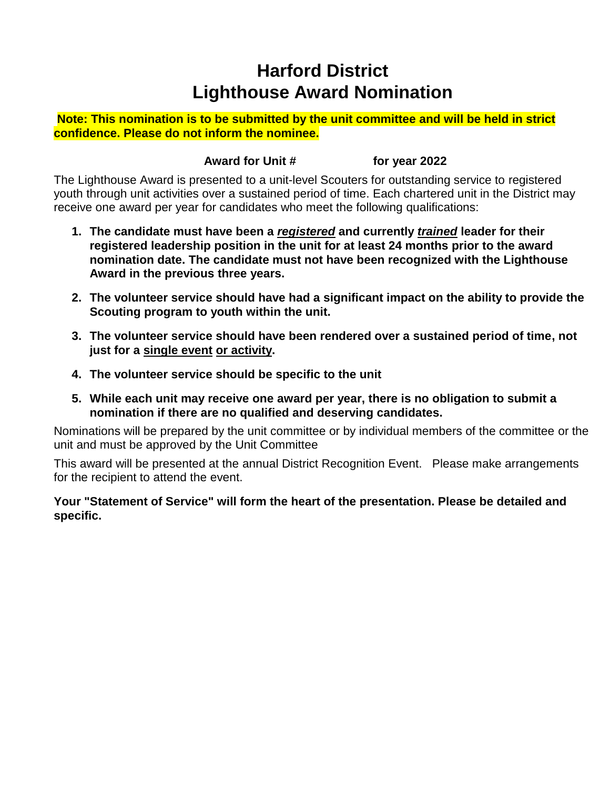## **Harford District Lighthouse Award Nomination**

**Note: This nomination is to be submitted by the unit committee and will be held in strict confidence. Please do not inform the nominee.**

## **Award for Unit # for year 2022**

The Lighthouse Award is presented to a unit-level Scouters for outstanding service to registered youth through unit activities over a sustained period of time. Each chartered unit in the District may receive one award per year for candidates who meet the following qualifications:

- **1. The candidate must have been a** *registered* **and currently** *trained* **leader for their registered leadership position in the unit for at least 24 months prior to the award nomination date. The candidate must not have been recognized with the Lighthouse Award in the previous three years.**
- **2. The volunteer service should have had a significant impact on the ability to provide the Scouting program to youth within the unit.**
- **3. The volunteer service should have been rendered over a sustained period of time, not just for a single event or activity.**
- **4. The volunteer service should be specific to the unit**
- **5. While each unit may receive one award per year, there is no obligation to submit a nomination if there are no qualified and deserving candidates.**

Nominations will be prepared by the unit committee or by individual members of the committee or the unit and must be approved by the Unit Committee

This award will be presented at the annual District Recognition Event. Please make arrangements for the recipient to attend the event.

## **Your "Statement of Service" will form the heart of the presentation. Please be detailed and specific.**